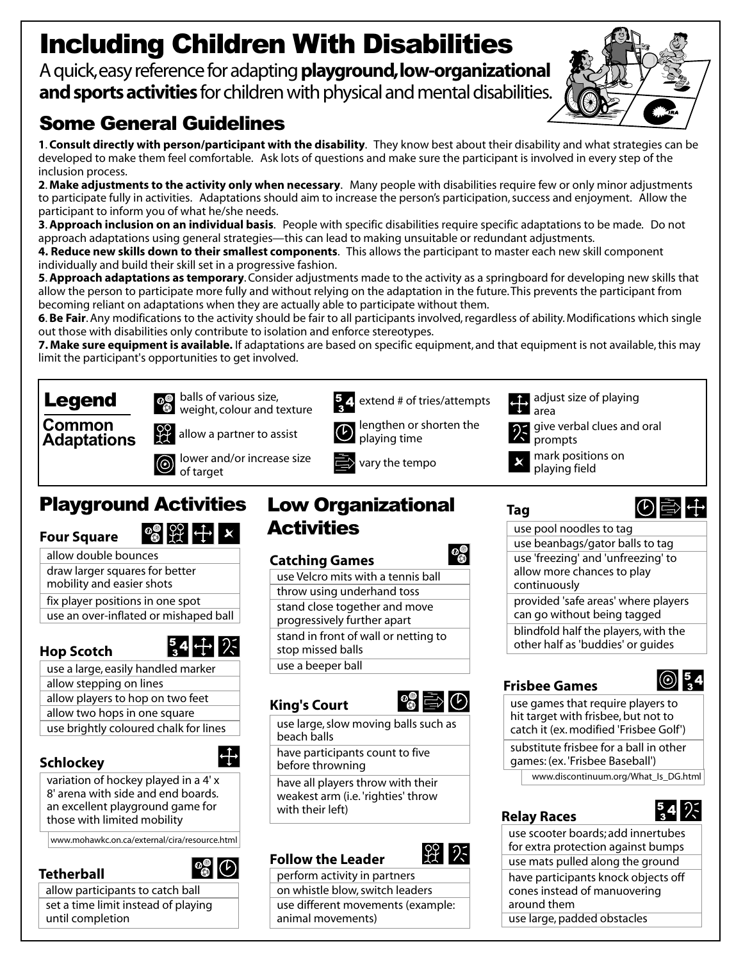# Including Children With Disabilities

A quick, easy reference for adapting **playground, low-organizational** 

**and sports activities** for children with physical and mental disabilities.

## Some General Guidelines

**1**. **Consult directly with person/participant with the disability**. They know best about their disability and what strategies can be developed to make them feel comfortable. Ask lots of questions and make sure the participant is involved in every step of the inclusion process.

**2**. **Make adjustments to the activity only when necessary**. Many people with disabilities require few or only minor adjustments to participate fully in activities. Adaptations should aim to increase the person's participation, success and enjoyment. Allow the participant to inform you of what he/she needs.

**3**. **Approach inclusion on an individual basis**. People with specific disabilities require specific adaptations to be made. Do not approach adaptations using general strategies—this can lead to making unsuitable or redundant adjustments.

**4. Reduce new skills down to their smallest components**. This allows the participant to master each new skill component individually and build their skill set in a progressive fashion.

**5**. **Approach adaptations as temporary**. Consider adjustments made to the activity as a springboard for developing new skills that allow the person to participate more fully and without relying on the adaptation in the future. This prevents the participant from becoming reliant on adaptations when they are actually able to participate without them.

**6**. **Be Fair**. Any modifications to the activity should be fair to all participants involved, regardless of ability. Modifications which single out those with disabilities only contribute to isolation and enforce stereotypes.

**7. Make sure equipment is available.** If adaptations are based on specific equipment, and that equipment is not available, this may limit the participant's opportunities to get involved.



use Velcro mits with a tennis ball

stand in front of wall or netting to

throw using underhand toss stand close together and move progressively further apart

**Activities** 

**Catching Games**

**King's Court**

use a beeper ball

stop missed balls

### **Four Square**

**83** 97 5

allow double bounces

| draw larger squares for better |
|--------------------------------|
| mobility and easier shots      |

fix player positions in one spot use an over-inflated or mishaped ball

 $\frac{5}{3}$ 4 +  $\sqrt{25}$ 

### **Hop Scotch**

| use a large, easily handled marker    |
|---------------------------------------|
| allow stepping on lines               |
| allow players to hop on two feet      |
| allow two hops in one square          |
| use brightly coloured chalk for lines |

### **Schlockey**

**Tetherball**

variation of hockey played in a 4' x 8' arena with side and end boards. an excellent playground game for those with limited mobility

www.mohawkc.on.ca/external/cira/resource.html

## $\mathcal{C}$



use large, slow moving balls such as beach balls

have participants count to five before throwning

have all players throw with their weakest arm (i.e. 'righties' throw with their left)

### **Follow the Leader**



perform activity in partners on whistle blow, switch leaders use different movements (example: animal movements)



use pool noodles to tag

use beanbags/gator balls to tag use 'freezing' and 'unfreezing' to allow more chances to play continuously

provided 'safe areas' where players can go without being tagged

blindfold half the players, with the other half as 'buddies' or guides

## **Frisbee Games**



use games that require players to hit target with frisbee, but not to catch it (ex. modified 'Frisbee Golf')

substitute frisbee for a ball in other games: (ex. 'Frisbee Baseball')

www.discontinuum.org/What\_Is\_DG.html

## **Relay Races**



use mats pulled along the ground use large, padded obstacles use scooter boards; add innertubes for extra protection against bumps have participants knock objects off cones instead of manuovering around them

#### allow participants to catch ball set a time limit instead of playing until completion